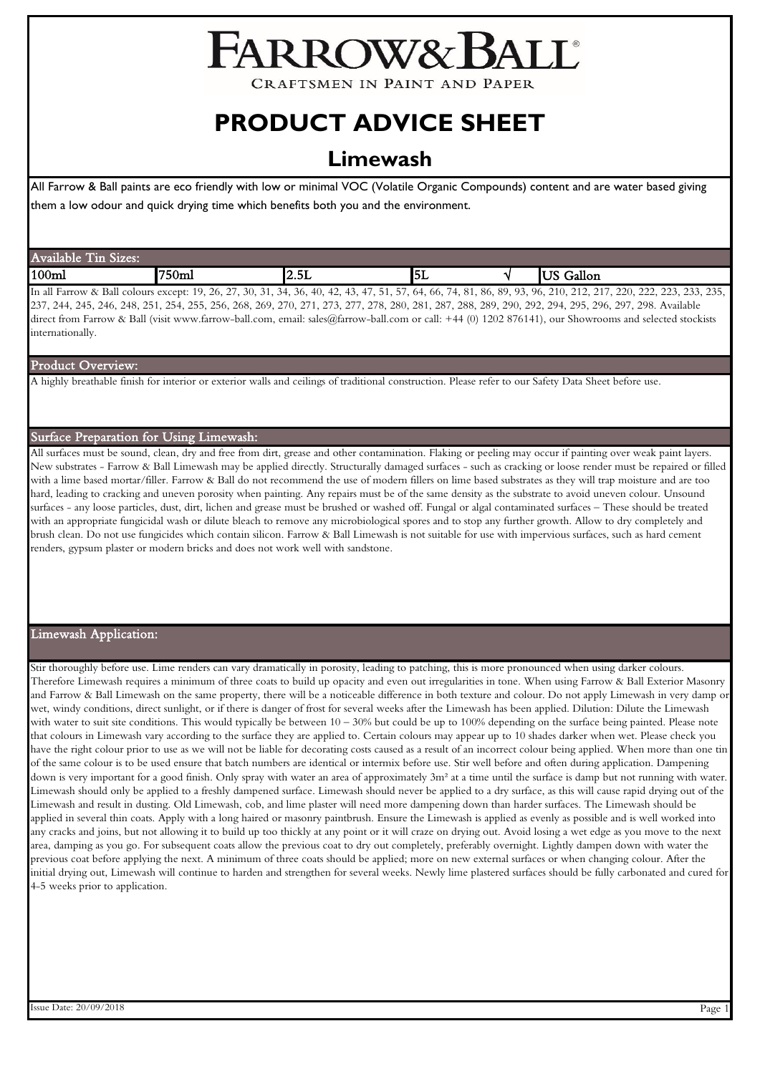# FARROW&1

**CRAFTSMEN IN PAINT AND PAPER** 

## **PRODUCT ADVICE SHEET**

### **Limewash**

All Farrow & Ball paints are eco friendly with low or minimal VOC (Volatile Organic Compounds) content and are water based giving them a low odour and quick drying time which benefits both you and the environment.

| $-1$<br>--<br>∽<br>$\mathbf{M}$<br>lable<br><b>Avai</b><br>- 1455 |       |                    |          |                            |
|-------------------------------------------------------------------|-------|--------------------|----------|----------------------------|
| 100 <sub>ml</sub>                                                 | "750m | $ -$<br>ै<br>l∠.JL | .<br>IЭL | .<br>$- -$<br>Gallon<br>ັບ |

In all Farrow & Ball colours except: 19, 26, 27, 30, 31, 34, 36, 40, 42, 43, 47, 51, 57, 64, 66, 74, 81, 86, 89, 93, 96, 210, 212, 217, 220, 222, 223, 233, 235, 237, 244, 245, 246, 248, 251, 254, 255, 256, 268, 269, 270, 271, 273, 277, 278, 280, 281, 287, 288, 289, 290, 292, 294, 295, 296, 297, 298. Available direct from Farrow & Ball (visit www.farrow-ball.com, email: sales@farrow-ball.com or call: +44 (0) 1202 876141), our Showrooms and selected stockists internationally.

#### Product Overview:

A highly breathable finish for interior or exterior walls and ceilings of traditional construction. Please refer to our Safety Data Sheet before use.

#### Surface Preparation for Using Limewash:

All surfaces must be sound, clean, dry and free from dirt, grease and other contamination. Flaking or peeling may occur if painting over weak paint layers. New substrates - Farrow & Ball Limewash may be applied directly. Structurally damaged surfaces - such as cracking or loose render must be repaired or filled with a lime based mortar/filler. Farrow & Ball do not recommend the use of modern fillers on lime based substrates as they will trap moisture and are too hard, leading to cracking and uneven porosity when painting. Any repairs must be of the same density as the substrate to avoid uneven colour. Unsound surfaces - any loose particles, dust, dirt, lichen and grease must be brushed or washed off. Fungal or algal contaminated surfaces – These should be treated with an appropriate fungicidal wash or dilute bleach to remove any microbiological spores and to stop any further growth. Allow to dry completely and brush clean. Do not use fungicides which contain silicon. Farrow & Ball Limewash is not suitable for use with impervious surfaces, such as hard cement renders, gypsum plaster or modern bricks and does not work well with sandstone.

#### Limewash Application:

Stir thoroughly before use. Lime renders can vary dramatically in porosity, leading to patching, this is more pronounced when using darker colours. Therefore Limewash requires a minimum of three coats to build up opacity and even out irregularities in tone. When using Farrow & Ball Exterior Masonry and Farrow & Ball Limewash on the same property, there will be a noticeable difference in both texture and colour. Do not apply Limewash in very damp or wet, windy conditions, direct sunlight, or if there is danger of frost for several weeks after the Limewash has been applied. Dilution: Dilute the Limewash with water to suit site conditions. This would typically be between  $10-30\%$  but could be up to 100% depending on the surface being painted. Please note that colours in Limewash vary according to the surface they are applied to. Certain colours may appear up to 10 shades darker when wet. Please check you have the right colour prior to use as we will not be liable for decorating costs caused as a result of an incorrect colour being applied. When more than one tin of the same colour is to be used ensure that batch numbers are identical or intermix before use. Stir well before and often during application. Dampening down is very important for a good finish. Only spray with water an area of approximately 3m<sup>2</sup> at a time until the surface is damp but not running with water. Limewash should only be applied to a freshly dampened surface. Limewash should never be applied to a dry surface, as this will cause rapid drying out of the Limewash and result in dusting. Old Limewash, cob, and lime plaster will need more dampening down than harder surfaces. The Limewash should be applied in several thin coats. Apply with a long haired or masonry paintbrush. Ensure the Limewash is applied as evenly as possible and is well worked into any cracks and joins, but not allowing it to build up too thickly at any point or it will craze on drying out. Avoid losing a wet edge as you move to the next area, damping as you go. For subsequent coats allow the previous coat to dry out completely, preferably overnight. Lightly dampen down with water the previous coat before applying the next. A minimum of three coats should be applied; more on new external surfaces or when changing colour. After the initial drying out, Limewash will continue to harden and strengthen for several weeks. Newly lime plastered surfaces should be fully carbonated and cured for 4-5 weeks prior to application.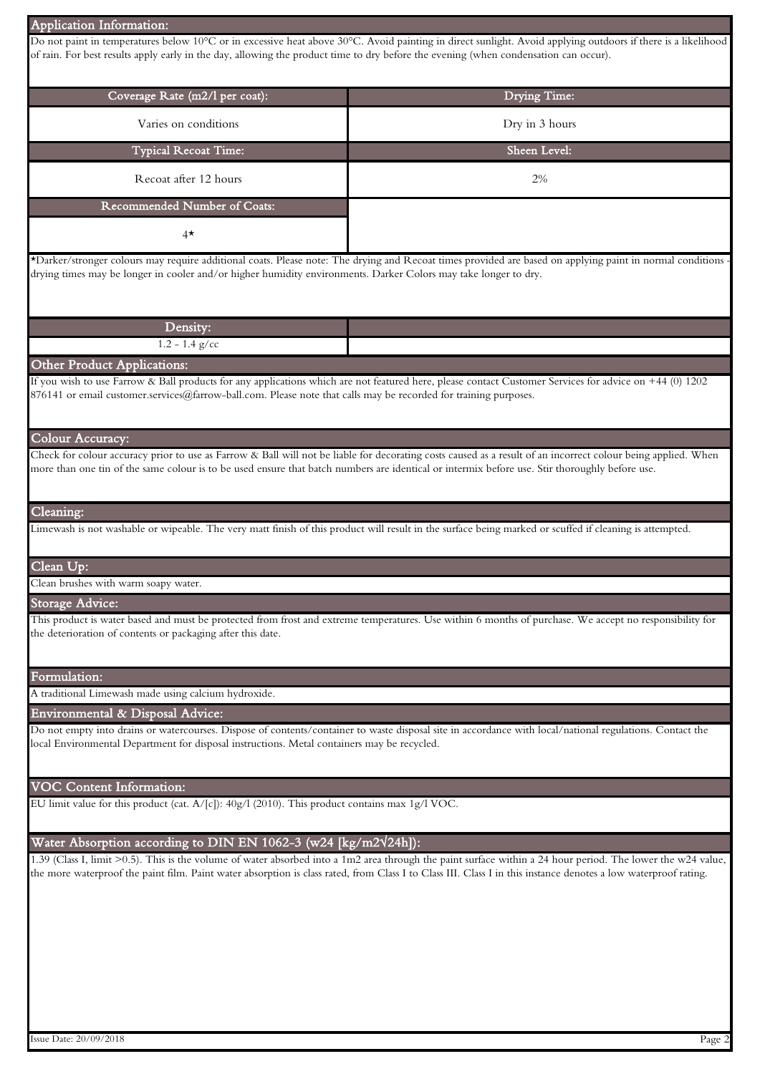| <b>Application Information:</b>                                                                                                                             |                                                                                                                                                                                                                                                                                                                                 |  |  |
|-------------------------------------------------------------------------------------------------------------------------------------------------------------|---------------------------------------------------------------------------------------------------------------------------------------------------------------------------------------------------------------------------------------------------------------------------------------------------------------------------------|--|--|
| of rain. For best results apply early in the day, allowing the product time to dry before the evening (when condensation can occur).                        | Do not paint in temperatures below 10°C or in excessive heat above 30°C. Avoid painting in direct sunlight. Avoid applying outdoors if there is a likelihood                                                                                                                                                                    |  |  |
|                                                                                                                                                             |                                                                                                                                                                                                                                                                                                                                 |  |  |
| Coverage Rate (m2/l per coat):                                                                                                                              | Drying Time:                                                                                                                                                                                                                                                                                                                    |  |  |
|                                                                                                                                                             |                                                                                                                                                                                                                                                                                                                                 |  |  |
| Varies on conditions                                                                                                                                        | Dry in 3 hours                                                                                                                                                                                                                                                                                                                  |  |  |
| <b>Typical Recoat Time:</b>                                                                                                                                 | Sheen Level:                                                                                                                                                                                                                                                                                                                    |  |  |
| Recoat after 12 hours                                                                                                                                       | 2%                                                                                                                                                                                                                                                                                                                              |  |  |
| Recommended Number of Coats:                                                                                                                                |                                                                                                                                                                                                                                                                                                                                 |  |  |
| $4^{\star}$                                                                                                                                                 |                                                                                                                                                                                                                                                                                                                                 |  |  |
| drying times may be longer in cooler and/or higher humidity environments. Darker Colors may take longer to dry.                                             | *Darker/stronger colours may require additional coats. Please note: The drying and Recoat times provided are based on applying paint in normal conditions                                                                                                                                                                       |  |  |
| Density:                                                                                                                                                    |                                                                                                                                                                                                                                                                                                                                 |  |  |
| $1.2 - 1.4$ g/cc                                                                                                                                            |                                                                                                                                                                                                                                                                                                                                 |  |  |
| Other Product Applications:                                                                                                                                 |                                                                                                                                                                                                                                                                                                                                 |  |  |
| 876141 or email customer.services@farrow-ball.com. Please note that calls may be recorded for training purposes.                                            | If you wish to use Farrow & Ball products for any applications which are not featured here, please contact Customer Services for advice on +44 (0) 1202                                                                                                                                                                         |  |  |
| Colour Accuracy:                                                                                                                                            | Check for colour accuracy prior to use as Farrow & Ball will not be liable for decorating costs caused as a result of an incorrect colour being applied. When                                                                                                                                                                   |  |  |
| more than one tin of the same colour is to be used ensure that batch numbers are identical or intermix before use. Stir thoroughly before use.<br>Cleaning: | Limewash is not washable or wipeable. The very matt finish of this product will result in the surface being marked or scuffed if cleaning is attempted.                                                                                                                                                                         |  |  |
|                                                                                                                                                             |                                                                                                                                                                                                                                                                                                                                 |  |  |
| Clean Up:                                                                                                                                                   |                                                                                                                                                                                                                                                                                                                                 |  |  |
| Clean brushes with warm soapy water.                                                                                                                        |                                                                                                                                                                                                                                                                                                                                 |  |  |
| Storage Advice:                                                                                                                                             | This product is water based and must be protected from frost and extreme temperatures. Use within 6 months of purchase. We accept no responsibility for                                                                                                                                                                         |  |  |
| the deterioration of contents or packaging after this date.                                                                                                 |                                                                                                                                                                                                                                                                                                                                 |  |  |
| Formulation:                                                                                                                                                |                                                                                                                                                                                                                                                                                                                                 |  |  |
| A traditional Limewash made using calcium hydroxide.                                                                                                        |                                                                                                                                                                                                                                                                                                                                 |  |  |
| Environmental & Disposal Advice:                                                                                                                            |                                                                                                                                                                                                                                                                                                                                 |  |  |
| local Environmental Department for disposal instructions. Metal containers may be recycled.                                                                 | Do not empty into drains or watercourses. Dispose of contents/container to waste disposal site in accordance with local/national regulations. Contact the                                                                                                                                                                       |  |  |
| VOC Content Information:                                                                                                                                    |                                                                                                                                                                                                                                                                                                                                 |  |  |
| EU limit value for this product (cat. $A/[c]$ ): 40g/l (2010). This product contains max 1g/l VOC.                                                          |                                                                                                                                                                                                                                                                                                                                 |  |  |
| Water Absorption according to DIN EN 1062-3 (w24 $\overline{\rm [kg/m2\sqrt{24h}]}$ ):                                                                      |                                                                                                                                                                                                                                                                                                                                 |  |  |
|                                                                                                                                                             | 1.39 (Class I, limit >0.5). This is the volume of water absorbed into a 1m2 area through the paint surface within a 24 hour period. The lower the w24 value,<br>the more waterproof the paint film. Paint water absorption is class rated, from Class I to Class III. Class I in this instance denotes a low waterproof rating. |  |  |
|                                                                                                                                                             |                                                                                                                                                                                                                                                                                                                                 |  |  |